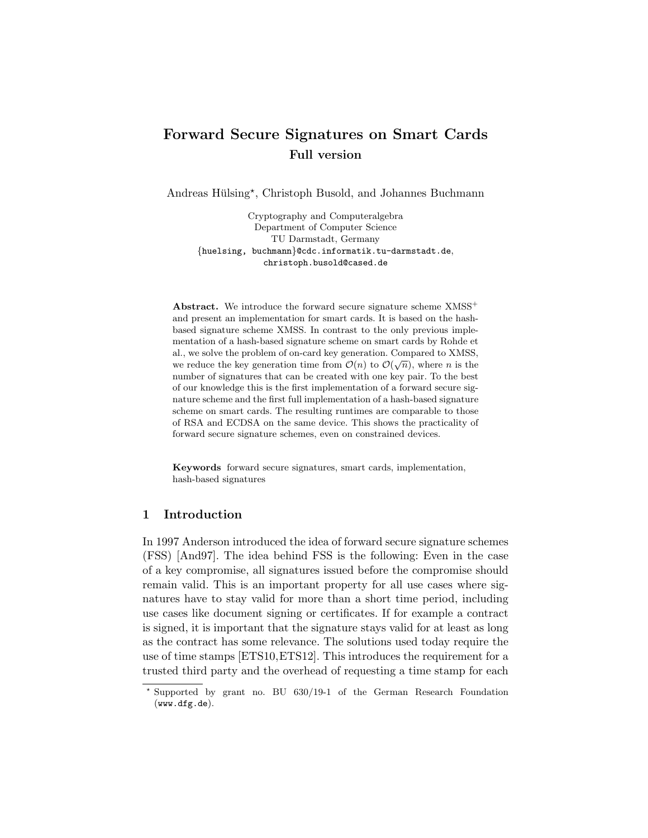# Forward Secure Signatures on Smart Cards Full version

Andreas Hülsing\*, Christoph Busold, and Johannes Buchmann

Cryptography and Computeralgebra Department of Computer Science TU Darmstadt, Germany {huelsing, buchmann}@cdc.informatik.tu-darmstadt.de, christoph.busold@cased.de

Abstract. We introduce the forward secure signature scheme  $XMSS^+$ and present an implementation for smart cards. It is based on the hashbased signature scheme XMSS. In contrast to the only previous implementation of a hash-based signature scheme on smart cards by Rohde et al., we solve the problem of on-card key generation. Compared to XMSS, we reduce the key generation time from  $\mathcal{O}(n)$  to  $\mathcal{O}(\sqrt{n})$ , where *n* is the number of signatures that can be created with one key pair. To the best of our knowledge this is the first implementation of a forward secure signature scheme and the first full implementation of a hash-based signature scheme on smart cards. The resulting runtimes are comparable to those of RSA and ECDSA on the same device. This shows the practicality of forward secure signature schemes, even on constrained devices.

Keywords forward secure signatures, smart cards, implementation, hash-based signatures

# 1 Introduction

In 1997 Anderson introduced the idea of forward secure signature schemes (FSS) [And97]. The idea behind FSS is the following: Even in the case of a key compromise, all signatures issued before the compromise should remain valid. This is an important property for all use cases where signatures have to stay valid for more than a short time period, including use cases like document signing or certificates. If for example a contract is signed, it is important that the signature stays valid for at least as long as the contract has some relevance. The solutions used today require the use of time stamps [ETS10,ETS12]. This introduces the requirement for a trusted third party and the overhead of requesting a time stamp for each

<sup>?</sup> Supported by grant no. BU 630/19-1 of the German Research Foundation (www.dfg.de).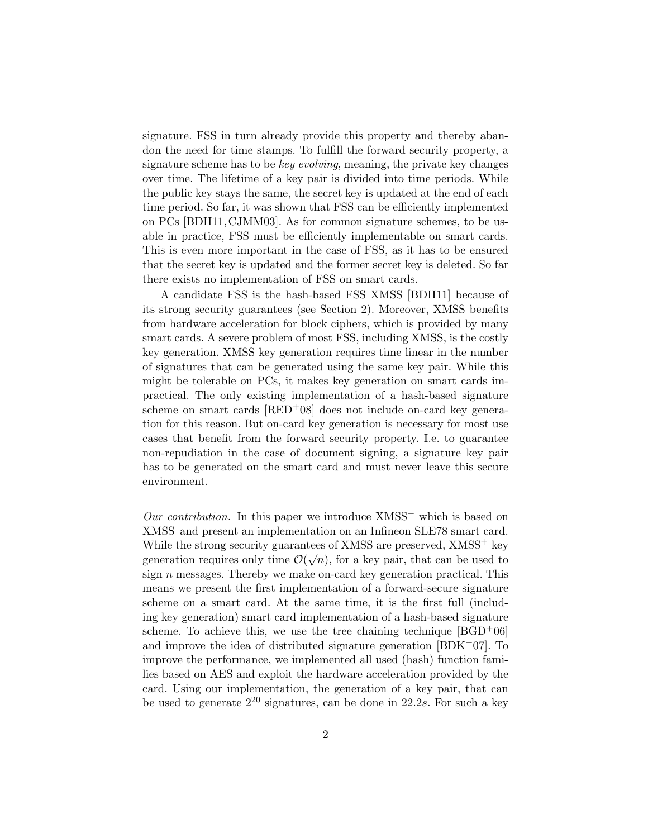signature. FSS in turn already provide this property and thereby abandon the need for time stamps. To fulfill the forward security property, a signature scheme has to be key evolving, meaning, the private key changes over time. The lifetime of a key pair is divided into time periods. While the public key stays the same, the secret key is updated at the end of each time period. So far, it was shown that FSS can be efficiently implemented on PCs [BDH11, CJMM03]. As for common signature schemes, to be usable in practice, FSS must be efficiently implementable on smart cards. This is even more important in the case of FSS, as it has to be ensured that the secret key is updated and the former secret key is deleted. So far there exists no implementation of FSS on smart cards.

A candidate FSS is the hash-based FSS XMSS [BDH11] because of its strong security guarantees (see Section 2). Moreover, XMSS benefits from hardware acceleration for block ciphers, which is provided by many smart cards. A severe problem of most FSS, including XMSS, is the costly key generation. XMSS key generation requires time linear in the number of signatures that can be generated using the same key pair. While this might be tolerable on PCs, it makes key generation on smart cards impractical. The only existing implementation of a hash-based signature scheme on smart cards  $[RED<sup>+</sup>08]$  does not include on-card key generation for this reason. But on-card key generation is necessary for most use cases that benefit from the forward security property. I.e. to guarantee non-repudiation in the case of document signing, a signature key pair has to be generated on the smart card and must never leave this secure environment.

Our contribution. In this paper we introduce  $XMSS^+$  which is based on XMSS and present an implementation on an Infineon SLE78 smart card. While the strong security guarantees of XMSS are preserved,  $XMSS^{+}$  key generation requires only time  $\mathcal{O}(\sqrt{n})$ , for a key pair, that can be used to sign  $n$  messages. Thereby we make on-card key generation practical. This means we present the first implementation of a forward-secure signature scheme on a smart card. At the same time, it is the first full (including key generation) smart card implementation of a hash-based signature scheme. To achieve this, we use the tree chaining technique  $[BGD^+06]$ and improve the idea of distributed signature generation  $[BDK^+07]$ . To improve the performance, we implemented all used (hash) function families based on AES and exploit the hardware acceleration provided by the card. Using our implementation, the generation of a key pair, that can be used to generate  $2^{20}$  signatures, can be done in 22.2s. For such a key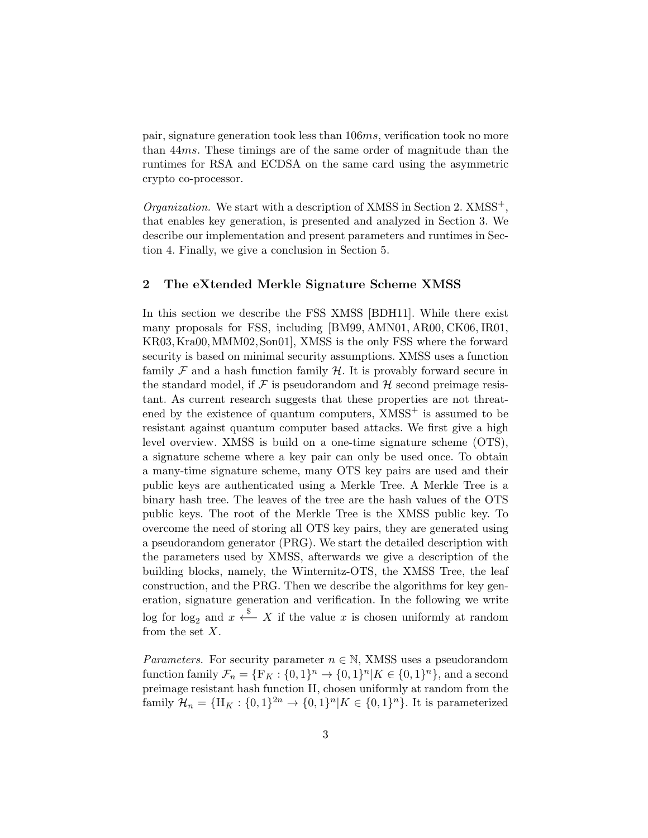pair, signature generation took less than 106ms, verification took no more than 44ms. These timings are of the same order of magnitude than the runtimes for RSA and ECDSA on the same card using the asymmetric crypto co-processor.

 $Organization$ . We start with a description of XMSS in Section 2.  $XMSS^{+}$ , that enables key generation, is presented and analyzed in Section 3. We describe our implementation and present parameters and runtimes in Section 4. Finally, we give a conclusion in Section 5.

# 2 The eXtended Merkle Signature Scheme XMSS

In this section we describe the FSS XMSS [BDH11]. While there exist many proposals for FSS, including [BM99, AMN01, AR00, CK06, IR01, KR03,Kra00,MMM02, Son01], XMSS is the only FSS where the forward security is based on minimal security assumptions. XMSS uses a function family  $\mathcal F$  and a hash function family  $\mathcal H$ . It is provably forward secure in the standard model, if  $\mathcal F$  is pseudorandom and  $\mathcal H$  second preimage resistant. As current research suggests that these properties are not threatened by the existence of quantum computers,  $XMSS^+$  is assumed to be resistant against quantum computer based attacks. We first give a high level overview. XMSS is build on a one-time signature scheme (OTS), a signature scheme where a key pair can only be used once. To obtain a many-time signature scheme, many OTS key pairs are used and their public keys are authenticated using a Merkle Tree. A Merkle Tree is a binary hash tree. The leaves of the tree are the hash values of the OTS public keys. The root of the Merkle Tree is the XMSS public key. To overcome the need of storing all OTS key pairs, they are generated using a pseudorandom generator (PRG). We start the detailed description with the parameters used by XMSS, afterwards we give a description of the building blocks, namely, the Winternitz-OTS, the XMSS Tree, the leaf construction, and the PRG. Then we describe the algorithms for key generation, signature generation and verification. In the following we write log for log<sub>2</sub> and  $x \stackrel{\$}{\longleftarrow} X$  if the value x is chosen uniformly at random from the set  $X$ .

*Parameters.* For security parameter  $n \in \mathbb{N}$ , XMSS uses a pseudorandom function family  $\mathcal{F}_n = {\{F_K : \{0,1\}^n \to \{0,1\}^n | K \in \{0,1\}^n\}}$ , and a second preimage resistant hash function H, chosen uniformly at random from the family  $\mathcal{H}_n = {\{\text{H}_K : \{0,1\}^{2n} \to \{0,1\}^n | K \in \{0,1\}^n\}}$ . It is parameterized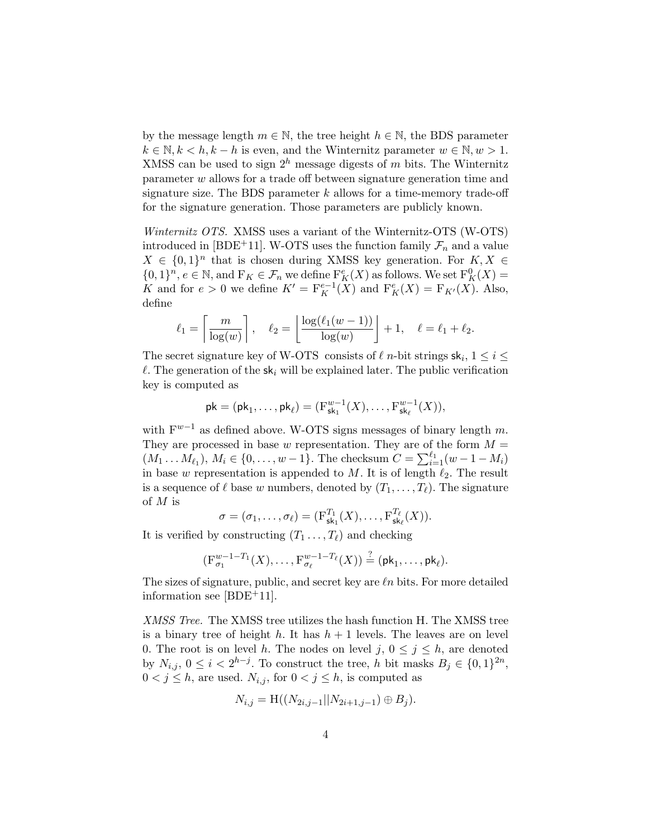by the message length  $m \in \mathbb{N}$ , the tree height  $h \in \mathbb{N}$ , the BDS parameter  $k \in \mathbb{N}, k < h, k - h$  is even, and the Winternitz parameter  $w \in \mathbb{N}, w > 1$ . XMSS can be used to sign  $2^h$  message digests of m bits. The Winternitz parameter w allows for a trade off between signature generation time and signature size. The BDS parameter  $k$  allows for a time-memory trade-off for the signature generation. Those parameters are publicly known.

Winternitz OTS. XMSS uses a variant of the Winternitz-OTS (W-OTS) introduced in [BDE<sup>+</sup>11]. W-OTS uses the function family  $\mathcal{F}_n$  and a value  $X \in \{0,1\}^n$  that is chosen during XMSS key generation. For  $K, X \in$  $\{0,1\}^n, e \in \mathbb{N}$ , and  $F_K \in \mathcal{F}_n$  we define  $F_K^e(X)$  as follows. We set  $F_K^0(X)$  = K and for  $e > 0$  we define  $K' = \mathcal{F}_K^{e-1}(X)$  and  $\mathcal{F}_K^e(X) = \mathcal{F}_{K'}(X)$ . Also, define

$$
\ell_1 = \left\lceil \frac{m}{\log(w)} \right\rceil, \quad \ell_2 = \left\lfloor \frac{\log(\ell_1(w-1))}{\log(w)} \right\rfloor + 1, \quad \ell = \ell_1 + \ell_2.
$$

The secret signature key of W-OTS consists of  $\ell$  n-bit strings  $sk_i, 1 \leq i \leq$  $\ell$ . The generation of the sk<sub>i</sub> will be explained later. The public verification key is computed as

$$
pk = (pk_1, \ldots, pk_\ell) = (F_{sk_1}^{w-1}(X), \ldots, F_{sk_\ell}^{w-1}(X)),
$$

with  $F^{w-1}$  as defined above. W-OTS signs messages of binary length m. They are processed in base w representation. They are of the form  $M =$  $(M_1 \dots M_{\ell_1}), M_i \in \{0, \dots, w-1\}.$  The checksum  $C = \sum_{i=1}^{\ell_1} (w-1-M_i)$ in base w representation is appended to M. It is of length  $\ell_2$ . The result is a sequence of  $\ell$  base w numbers, denoted by  $(T_1, \ldots, T_\ell)$ . The signature of M is

$$
\sigma = (\sigma_1, \ldots, \sigma_\ell) = (\mathbf{F}_{\mathsf{sk}_1}^{T_1}(X), \ldots, \mathbf{F}_{\mathsf{sk}_\ell}^{T_\ell}(X)).
$$

It is verified by constructing  $(T_1 \ldots, T_\ell)$  and checking

$$
(\mathrm{F}_{\sigma_1}^{w-1-T_1}(X),\ldots,\mathrm{F}_{\sigma_\ell}^{w-1-T_\ell}(X))\stackrel{?}{=}(\mathsf{pk}_1,\ldots,\mathsf{pk}_\ell).
$$

The sizes of signature, public, and secret key are  $ln$  bits. For more detailed information see [BDE+11].

XMSS Tree. The XMSS tree utilizes the hash function H. The XMSS tree is a binary tree of height h. It has  $h + 1$  levels. The leaves are on level 0. The root is on level h. The nodes on level j,  $0 \le j \le h$ , are denoted by  $N_{i,j}$ ,  $0 \leq i < 2^{h-j}$ . To construct the tree, h bit masks  $B_j \in \{0,1\}^{2n}$ ,  $0 < j \leq h$ , are used.  $N_{i,j}$ , for  $0 < j \leq h$ , is computed as

$$
N_{i,j} = H((N_{2i,j-1}||N_{2i+1,j-1}) \oplus B_j).
$$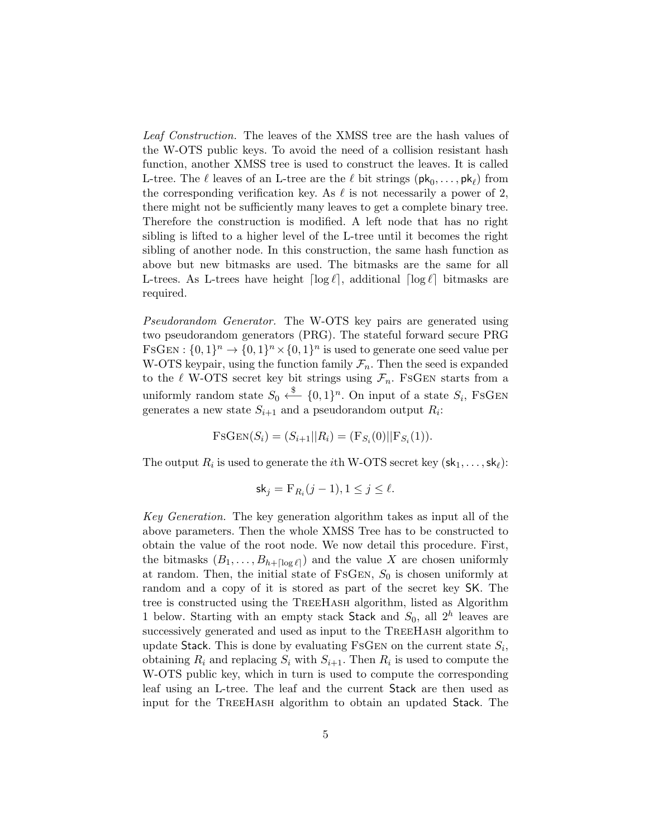Leaf Construction. The leaves of the XMSS tree are the hash values of the W-OTS public keys. To avoid the need of a collision resistant hash function, another XMSS tree is used to construct the leaves. It is called L-tree. The  $\ell$  leaves of an L-tree are the  $\ell$  bit strings  $(\mathsf{pk}_0, \ldots, \mathsf{pk}_\ell)$  from the corresponding verification key. As  $\ell$  is not necessarily a power of 2, there might not be sufficiently many leaves to get a complete binary tree. Therefore the construction is modified. A left node that has no right sibling is lifted to a higher level of the L-tree until it becomes the right sibling of another node. In this construction, the same hash function as above but new bitmasks are used. The bitmasks are the same for all L-trees. As L-trees have height  $\lceil \log \ell \rceil$ , additional  $\lceil \log \ell \rceil$  bitmasks are required.

Pseudorandom Generator. The W-OTS key pairs are generated using two pseudorandom generators (PRG). The stateful forward secure PRG FSGEN:  $\{0,1\}^n \rightarrow \{0,1\}^n \times \{0,1\}^n$  is used to generate one seed value per W-OTS keypair, using the function family  $\mathcal{F}_n$ . Then the seed is expanded to the  $\ell$  W-OTS secret key bit strings using  $\mathcal{F}_n$ . FSGEN starts from a uniformly random state  $S_0 \stackrel{\$}{\longleftarrow} \{0,1\}^n$ . On input of a state  $S_i$ , FSGEN generates a new state  $S_{i+1}$  and a pseudorandom output  $R_i$ :

$$
FSGEN(S_i) = (S_{i+1}||R_i) = (F_{S_i}(0)||F_{S_i}(1)).
$$

The output  $R_i$  is used to generate the *i*th W-OTS secret key  $(\mathsf{sk}_1, \ldots, \mathsf{sk}_\ell)$ :

$$
\mathsf{sk}_j = \mathsf{F}_{R_i}(j-1), 1 \le j \le \ell.
$$

Key Generation. The key generation algorithm takes as input all of the above parameters. Then the whole XMSS Tree has to be constructed to obtain the value of the root node. We now detail this procedure. First, the bitmasks  $(B_1, \ldots, B_{h+\lceil \log \ell \rceil})$  and the value X are chosen uniformly at random. Then, the initial state of FSGEN,  $S_0$  is chosen uniformly at random and a copy of it is stored as part of the secret key SK. The tree is constructed using the TreeHash algorithm, listed as Algorithm 1 below. Starting with an empty stack Stack and  $S_0$ , all  $2^h$  leaves are successively generated and used as input to the TREEHASH algorithm to update Stack. This is done by evaluating FSGEN on the current state  $S_i$ , obtaining  $R_i$  and replacing  $S_i$  with  $S_{i+1}$ . Then  $R_i$  is used to compute the W-OTS public key, which in turn is used to compute the corresponding leaf using an L-tree. The leaf and the current Stack are then used as input for the TreeHash algorithm to obtain an updated Stack. The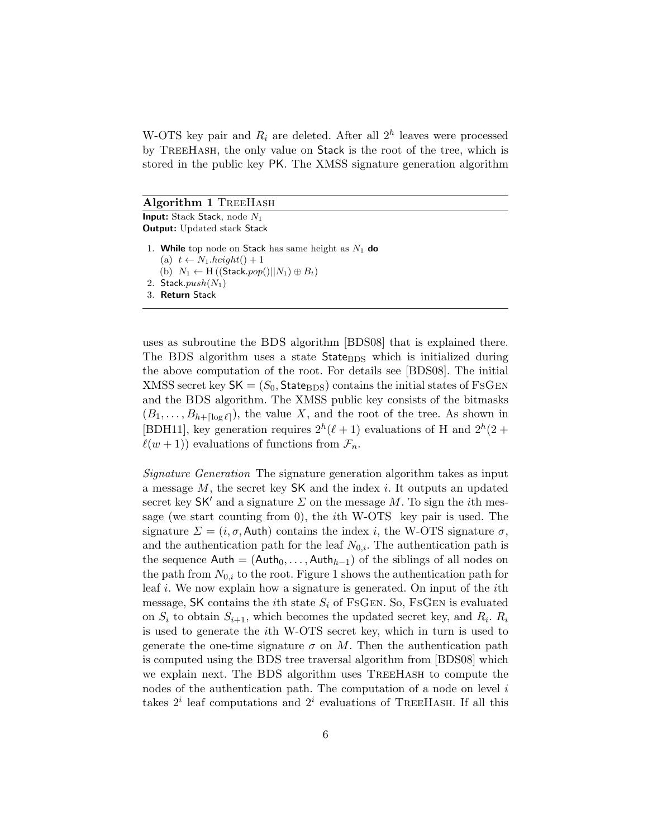W-OTS key pair and  $R_i$  are deleted. After all  $2^h$  leaves were processed by TreeHash, the only value on Stack is the root of the tree, which is stored in the public key PK. The XMSS signature generation algorithm

#### Algorithm 1 TREEHASH

**Input:** Stack Stack, node  $N_1$ Output: Updated stack Stack

- 1. While top node on Stack has same height as  $N_1$  do (a)  $t \leftarrow N_1 \text{.} height() + 1$ 
	- (b)  $N_1 \leftarrow H((\text{Stack}.pop(|| N_1) \oplus B_t)$
- 2. Stack. $push(N_1)$
- 3. Return Stack

uses as subroutine the BDS algorithm [BDS08] that is explained there. The BDS algorithm uses a state  $State_{RDS}$  which is initialized during the above computation of the root. For details see [BDS08]. The initial XMSS secret key  $SK = (S_0, State_{BDS})$  contains the initial states of FsGEN and the BDS algorithm. The XMSS public key consists of the bitmasks  $(B_1, \ldots, B_{h+[\log \ell]}),$  the value X, and the root of the tree. As shown in [BDH11], key generation requires  $2^h(\ell+1)$  evaluations of H and  $2^h(2 +$  $\ell(w + 1)$ ) evaluations of functions from  $\mathcal{F}_n$ .

Signature Generation The signature generation algorithm takes as input a message  $M$ , the secret key  $SK$  and the index i. It outputs an updated secret key  $SK'$  and a signature  $\Sigma$  on the message M. To sign the *i*th message (we start counting from 0), the ith W-OTS key pair is used. The signature  $\Sigma = (i, \sigma, \text{Auth})$  contains the index i, the W-OTS signature  $\sigma$ , and the authentication path for the leaf  $N_{0,i}$ . The authentication path is the sequence  $\mathsf{Auth} = (\mathsf{Auth}_0, \ldots, \mathsf{Auth}_{h-1})$  of the siblings of all nodes on the path from  $N_{0,i}$  to the root. Figure 1 shows the authentication path for leaf i. We now explain how a signature is generated. On input of the ith message, SK contains the *i*th state  $S_i$  of FsGEN. So, FsGEN is evaluated on  $S_i$  to obtain  $S_{i+1}$ , which becomes the updated secret key, and  $R_i$ .  $R_i$ is used to generate the ith W-OTS secret key, which in turn is used to generate the one-time signature  $\sigma$  on M. Then the authentication path is computed using the BDS tree traversal algorithm from [BDS08] which we explain next. The BDS algorithm uses TreeHash to compute the nodes of the authentication path. The computation of a node on level  $i$ takes  $2^i$  leaf computations and  $2^i$  evaluations of TREEHASH. If all this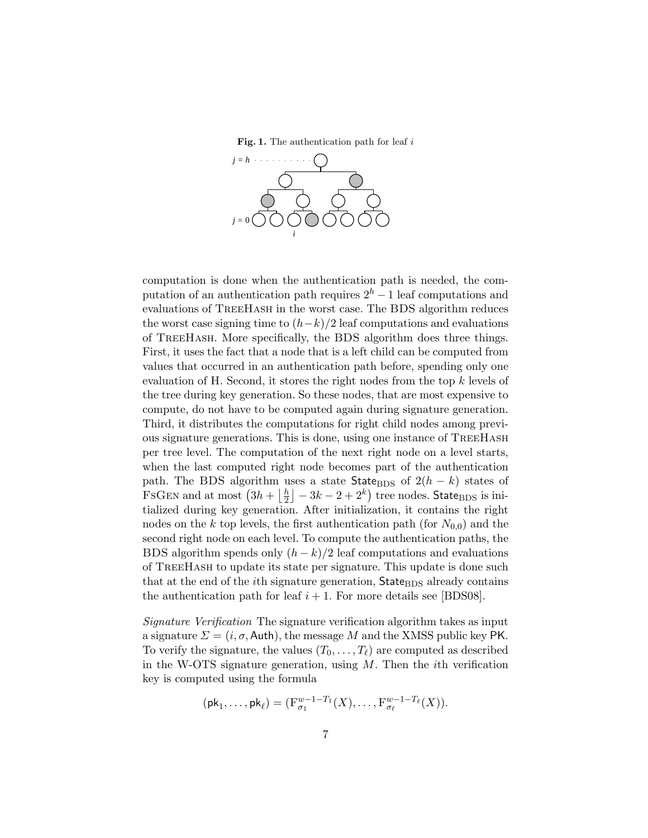Fig. 1. The authentication path for leaf  $i$ 



computation is done when the authentication path is needed, the computation of an authentication path requires  $2<sup>h</sup> - 1$  leaf computations and evaluations of TreeHash in the worst case. The BDS algorithm reduces the worst case signing time to  $(h-k)/2$  leaf computations and evaluations of TreeHash. More specifically, the BDS algorithm does three things. First, it uses the fact that a node that is a left child can be computed from values that occurred in an authentication path before, spending only one evaluation of H. Second, it stores the right nodes from the top k levels of the tree during key generation. So these nodes, that are most expensive to compute, do not have to be computed again during signature generation. Third, it distributes the computations for right child nodes among previous signature generations. This is done, using one instance of TreeHash per tree level. The computation of the next right node on a level starts, when the last computed right node becomes part of the authentication path. The BDS algorithm uses a state State<sub>BDS</sub> of  $2(h - k)$  states of FSGEN and at most  $\left(3h + \frac{h}{2}\right)$  $\left\lfloor\frac{h}{2}\right\rfloor-3k-2+2^k)$  tree nodes. <code>State<sub>BDS</code> is ini-</code></sub> tialized during key generation. After initialization, it contains the right nodes on the k top levels, the first authentication path (for  $N_{0,0}$ ) and the second right node on each level. To compute the authentication paths, the BDS algorithm spends only  $(h - k)/2$  leaf computations and evaluations of TreeHash to update its state per signature. This update is done such that at the end of the *i*th signature generation, StateBDS already contains the authentication path for leaf  $i + 1$ . For more details see [BDS08].

Signature Verification The signature verification algorithm takes as input a signature  $\Sigma = (i, \sigma, \text{Aut})$ , the message M and the XMSS public key PK. To verify the signature, the values  $(T_0, \ldots, T_\ell)$  are computed as described in the W-OTS signature generation, using  $M$ . Then the *i*th verification key is computed using the formula

$$
(\mathsf{pk}_1,\ldots,\mathsf{pk}_\ell)=(\mathrm{F}_{\sigma_1}^{w-1-T_1}(X),\ldots,\mathrm{F}_{\sigma_\ell}^{w-1-T_\ell}(X)).
$$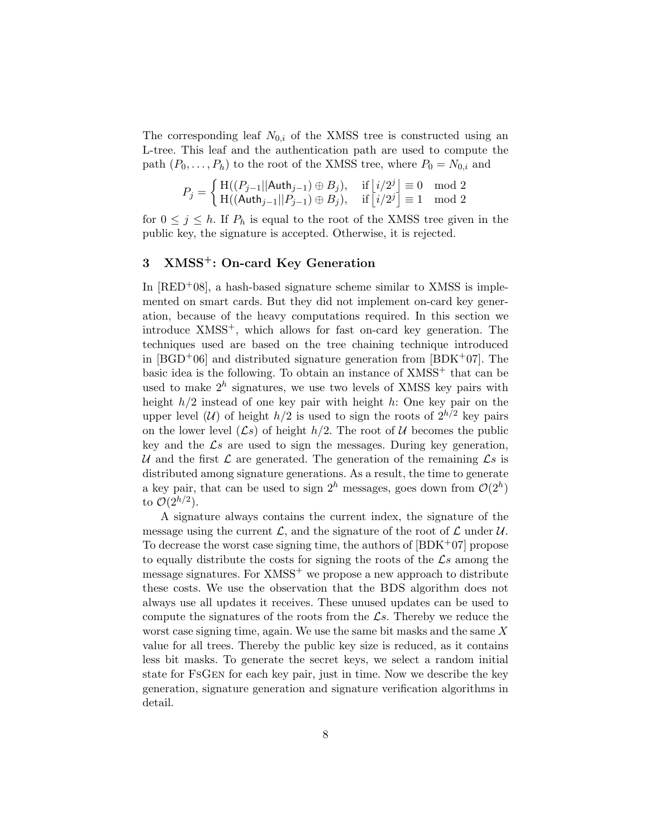The corresponding leaf  $N_{0,i}$  of the XMSS tree is constructed using an L-tree. This leaf and the authentication path are used to compute the path  $(P_0, \ldots, P_h)$  to the root of the XMSS tree, where  $P_0 = N_{0,i}$  and

$$
P_j=\left\{\begin{matrix}\mathrm{H}((P_{j-1}||\mathsf{Auth}_{j-1})\oplus B_j),&\text{ if }\left\lfloor i/2^j\right\rfloor\equiv 0\mod 2\\ \mathrm{H}((\mathsf{Auth}_{j-1}||P_{j-1})\oplus B_j),&\text{ if }\left\lfloor i/2^j\right\rfloor\equiv 1\mod 2\end{matrix}\right.
$$

for  $0 \leq j \leq h$ . If  $P_h$  is equal to the root of the XMSS tree given in the public key, the signature is accepted. Otherwise, it is rejected.

# 3 XMSS<sup>+</sup>: On-card Key Generation

In  $[RED<sup>+</sup>08]$ , a hash-based signature scheme similar to XMSS is implemented on smart cards. But they did not implement on-card key generation, because of the heavy computations required. In this section we introduce  $XMSS^+$ , which allows for fast on-card key generation. The techniques used are based on the tree chaining technique introduced in  $[BGD^+06]$  and distributed signature generation from  $[BDK^+07]$ . The basic idea is the following. To obtain an instance of  $XMSS<sup>+</sup>$  that can be used to make  $2^h$  signatures, we use two levels of XMSS key pairs with height  $h/2$  instead of one key pair with height h: One key pair on the upper level (U) of height  $h/2$  is used to sign the roots of  $2^{h/2}$  key pairs on the lower level  $(\mathcal{L}s)$  of height  $h/2$ . The root of U becomes the public key and the  $\mathcal{L}s$  are used to sign the messages. During key generation, U and the first  $\mathcal L$  are generated. The generation of the remaining  $\mathcal L$ s is distributed among signature generations. As a result, the time to generate a key pair, that can be used to sign  $2^h$  messages, goes down from  $\mathcal{O}(2^h)$ to  $\mathcal{O}(2^{h/2})$ .

A signature always contains the current index, the signature of the message using the current  $\mathcal{L}$ , and the signature of the root of  $\mathcal{L}$  under  $\mathcal{U}$ . To decrease the worst case signing time, the authors of  $[BDK^+07]$  propose to equally distribute the costs for signing the roots of the  $\mathcal{L}s$  among the message signatures. For  $XMSS^+$  we propose a new approach to distribute these costs. We use the observation that the BDS algorithm does not always use all updates it receives. These unused updates can be used to compute the signatures of the roots from the  $\mathcal{L}s$ . Thereby we reduce the worst case signing time, again. We use the same bit masks and the same X value for all trees. Thereby the public key size is reduced, as it contains less bit masks. To generate the secret keys, we select a random initial state for FsGen for each key pair, just in time. Now we describe the key generation, signature generation and signature verification algorithms in detail.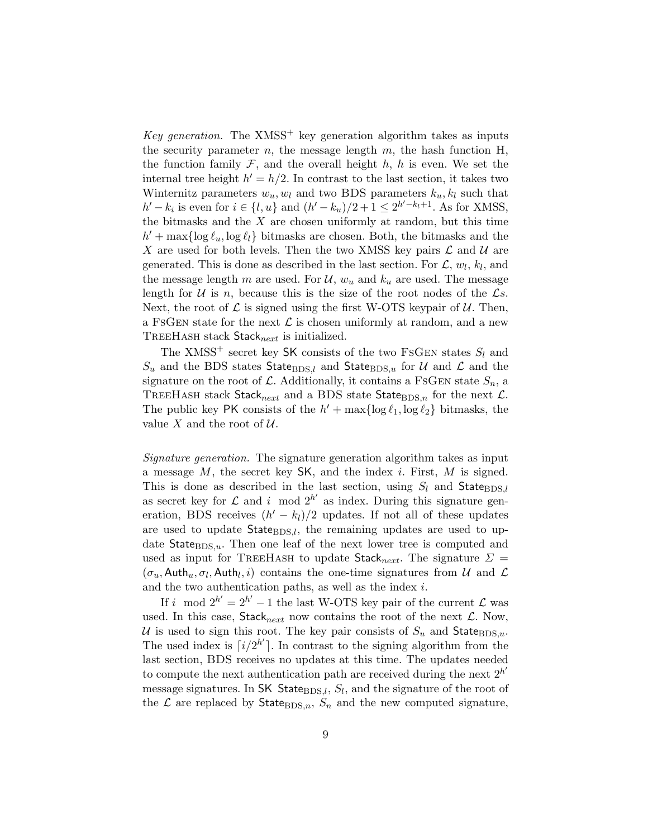Key generation. The XMSS<sup>+</sup> key generation algorithm takes as inputs the security parameter  $n$ , the message length  $m$ , the hash function H, the function family  $\mathcal F$ , and the overall height h, h is even. We set the internal tree height  $h' = h/2$ . In contrast to the last section, it takes two Winternitz parameters  $w_u, w_l$  and two BDS parameters  $k_u, k_l$  such that  $h'-k_i$  is even for  $i \in \{l, u\}$  and  $(h'-k_u)/2+1 \leq 2^{h'-k_l+1}$ . As for XMSS, the bitmasks and the  $X$  are chosen uniformly at random, but this time  $h' + \max\{\log \ell_u, \log \ell_l\}$  bitmasks are chosen. Both, the bitmasks and the X are used for both levels. Then the two XMSS key pairs  $\mathcal L$  and  $\mathcal U$  are generated. This is done as described in the last section. For  $\mathcal{L}, w_l, k_l$ , and the message length m are used. For  $\mathcal{U}, w_u$  and  $k_u$  are used. The message length for  $U$  is n, because this is the size of the root nodes of the  $\mathcal{L}s$ . Next, the root of  $\mathcal L$  is signed using the first W-OTS keypair of  $\mathcal U$ . Then, a FSGEN state for the next  $\mathcal L$  is chosen uniformly at random, and a new TREEHASH stack  $Stack_{next}$  is initialized.

The XMSS<sup>+</sup> secret key SK consists of the two FSGEN states  $S_l$  and  $S_u$  and the BDS states State<sub>BDS,l</sub> and State<sub>BDS,u</sub> for U and L and the signature on the root of L. Additionally, it contains a FSGEN state  $S_n$ , a TREEHASH stack Stack<sub>next</sub> and a BDS state State<sub>BDS,n</sub> for the next  $\mathcal{L}$ . The public key PK consists of the  $h' + \max\{\log \ell_1, \log \ell_2\}$  bitmasks, the value X and the root of  $U$ .

Signature generation. The signature generation algorithm takes as input a message  $M$ , the secret key  $SK$ , and the index *i*. First,  $M$  is signed. This is done as described in the last section, using  $S_l$  and StateBDS,l as secret key for  $\mathcal L$  and i mod  $2^{h'}$  as index. During this signature generation, BDS receives  $(h' - k_l)/2$  updates. If not all of these updates are used to update  $State_{BDS,l}$ , the remaining updates are used to update  $State_{BDS,u}$ . Then one leaf of the next lower tree is computed and used as input for TREEHASH to update Stack<sub>next</sub>. The signature  $\Sigma$  =  $(\sigma_u, \mathsf{Auth}_u, \sigma_l, \mathsf{Auth}_l, i)$  contains the one-time signatures from U and C and the two authentication paths, as well as the index i.

If i mod  $2^{h'} = 2^{h'} - 1$  the last W-OTS key pair of the current  $\mathcal{L}$  was used. In this case,  $Stack_{next}$  now contains the root of the next  $\mathcal{L}$ . Now, U is used to sign this root. The key pair consists of  $S_u$  and State $BDS_u$ . The used index is  $\lceil i/2^{h'} \rceil$ . In contrast to the signing algorithm from the last section, BDS receives no updates at this time. The updates needed to compute the next authentication path are received during the next  $2^{h'}$ message signatures. In SK State $_{\text{BDS},l}$ ,  $S_l$ , and the signature of the root of the  $\mathcal L$  are replaced by State<sub>BDS,n</sub>,  $S_n$  and the new computed signature,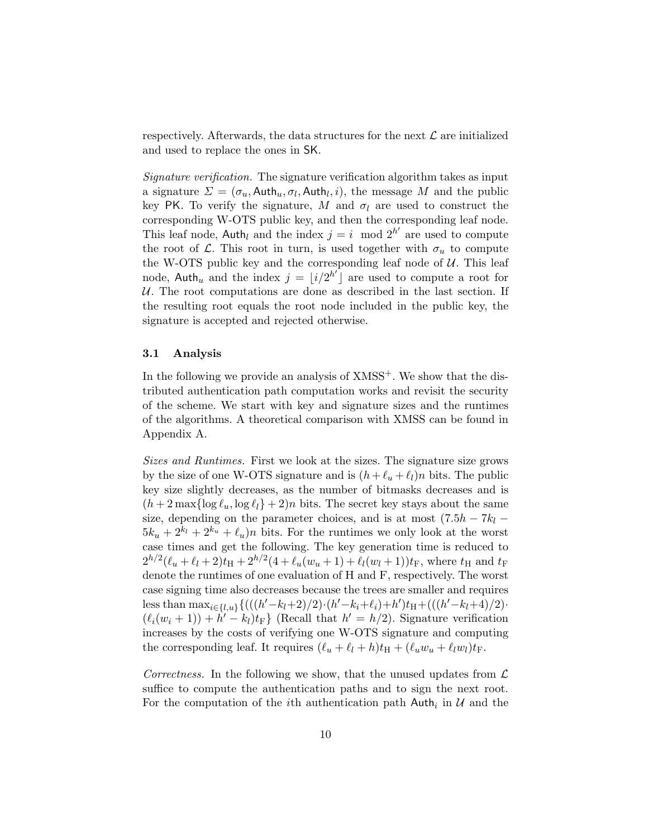respectively. Afterwards, the data structures for the next  $\mathcal L$  are initialized and used to replace the ones in SK.

Signature verification. The signature verification algorithm takes as input a signature  $\Sigma = (\sigma_u, \text{Auth}_u, \sigma_l, \text{Auth}_l, i)$ , the message M and the public key PK. To verify the signature, M and  $\sigma_l$  are used to construct the corresponding W-OTS public key, and then the corresponding leaf node. This leaf node, Auth<sub>l</sub> and the index  $j = i \mod 2^{h'}$  are used to compute the root of  $\mathcal{L}$ . This root in turn, is used together with  $\sigma_u$  to compute the W-OTS public key and the corresponding leaf node of  $U$ . This leaf node, Auth<sub>u</sub> and the index  $j = \lfloor i/2^{h'} \rfloor$  are used to compute a root for  $U$ . The root computations are done as described in the last section. If the resulting root equals the root node included in the public key, the signature is accepted and rejected otherwise.

#### 3.1 Analysis

In the following we provide an analysis of  $XMSS^+$ . We show that the distributed authentication path computation works and revisit the security of the scheme. We start with key and signature sizes and the runtimes of the algorithms. A theoretical comparison with XMSS can be found in Appendix A.

Sizes and Runtimes. First we look at the sizes. The signature size grows by the size of one W-OTS signature and is  $(h + \ell_u + \ell_l)n$  bits. The public key size slightly decreases, as the number of bitmasks decreases and is  $(h + 2 \max{\log \ell_u, \log \ell_l} + 2)n$  bits. The secret key stays about the same size, depending on the parameter choices, and is at most  $(7.5h - 7k_l 5k_u + 2^{k_u} + 2^{k_u} + \ell_u$ )n bits. For the runtimes we only look at the worst case times and get the following. The key generation time is reduced to  $2^{h/2}(\ell_u + \ell_l + 2)t_H + 2^{h/2}(4 + \ell_u(w_u + 1) + \ell_l(w_l + 1))t_F$ , where  $t_H$  and  $t_F$ denote the runtimes of one evaluation of H and F, respectively. The worst case signing time also decreases because the trees are smaller and requires less than  $\max_{i \in \{l, u\}} \{(((h'-k_l+2)/2) \cdot (h'-k_i+\ell_i)+h')t_H+(((h'-k_l+4)/2) \cdot$  $(\ell_i(w_i + 1)) + h' - k_l t_F$  (Recall that  $h' = h/2$ ). Signature verification increases by the costs of verifying one W-OTS signature and computing the corresponding leaf. It requires  $(\ell_u + \ell_l + h)t_H + (\ell_u w_u + \ell_l w_l)t_F$ .

Correctness. In the following we show, that the unused updates from  $\mathcal L$ suffice to compute the authentication paths and to sign the next root. For the computation of the *i*<sup>th</sup> authentication path  $\mathsf{Auth}_i$  in  $\mathcal U$  and the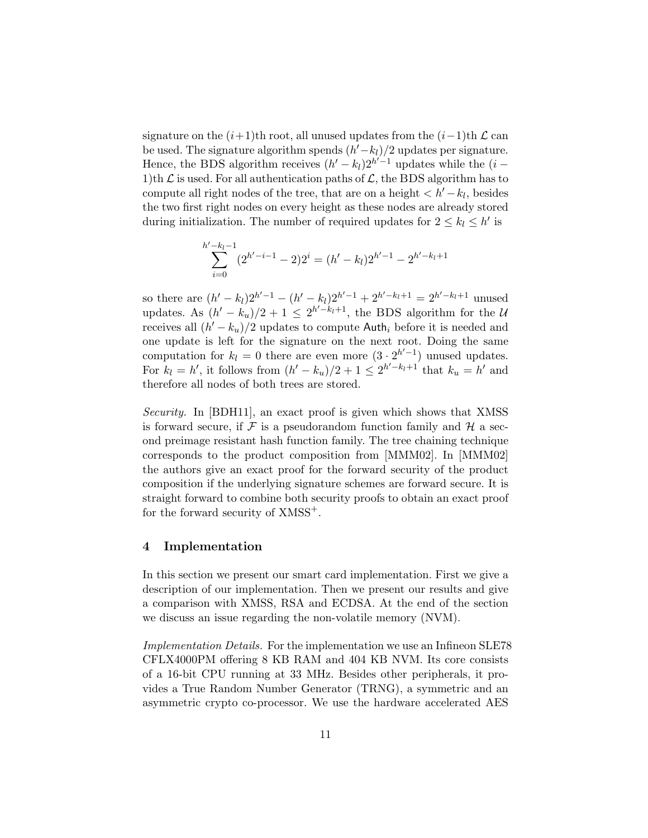signature on the  $(i+1)$ th root, all unused updates from the  $(i-1)$ th  $\mathcal L$  can be used. The signature algorithm spends  $(h'-k_l)/2$  updates per signature. Hence, the BDS algorithm receives  $(h'-k_l)2^{h'-1}$  updates while the  $(i-$ 1)th  $\mathcal L$  is used. For all authentication paths of  $\mathcal L$ , the BDS algorithm has to compute all right nodes of the tree, that are on a height  $\langle h'-k_l, h'' \rangle$ the two first right nodes on every height as these nodes are already stored during initialization. The number of required updates for  $2 \leq k_l \leq h'$  is

$$
\sum_{i=0}^{h'-k_l-1} (2^{h'-i-1}-2)2^i = (h'-k_l)2^{h'-1} - 2^{h'-k_l+1}
$$

so there are  $(h'-k_l)2^{h'-1} - (h'-k_l)2^{h'-1} + 2^{h'-k_l+1} = 2^{h'-k_l+1}$  unused updates. As  $(h' - k_u)/2 + 1 \leq 2^{h' - k_l + 1}$ , the BDS algorithm for the U receives all  $(h'-k_u)/2$  updates to compute Auth<sub>i</sub> before it is needed and one update is left for the signature on the next root. Doing the same computation for  $k_l = 0$  there are even more  $(3 \cdot 2^{h'-1})$  unused updates. For  $k_l = h'$ , it follows from  $(h' - k_u)/2 + 1 \leq 2^{h'-k_l+1}$  that  $k_u = h'$  and therefore all nodes of both trees are stored.

Security. In [BDH11], an exact proof is given which shows that XMSS is forward secure, if  $\mathcal F$  is a pseudorandom function family and  $\mathcal H$  a second preimage resistant hash function family. The tree chaining technique corresponds to the product composition from [MMM02]. In [MMM02] the authors give an exact proof for the forward security of the product composition if the underlying signature schemes are forward secure. It is straight forward to combine both security proofs to obtain an exact proof for the forward security of  $XMSS^+$ .

#### 4 Implementation

In this section we present our smart card implementation. First we give a description of our implementation. Then we present our results and give a comparison with XMSS, RSA and ECDSA. At the end of the section we discuss an issue regarding the non-volatile memory (NVM).

Implementation Details. For the implementation we use an Infineon SLE78 CFLX4000PM offering 8 KB RAM and 404 KB NVM. Its core consists of a 16-bit CPU running at 33 MHz. Besides other peripherals, it provides a True Random Number Generator (TRNG), a symmetric and an asymmetric crypto co-processor. We use the hardware accelerated AES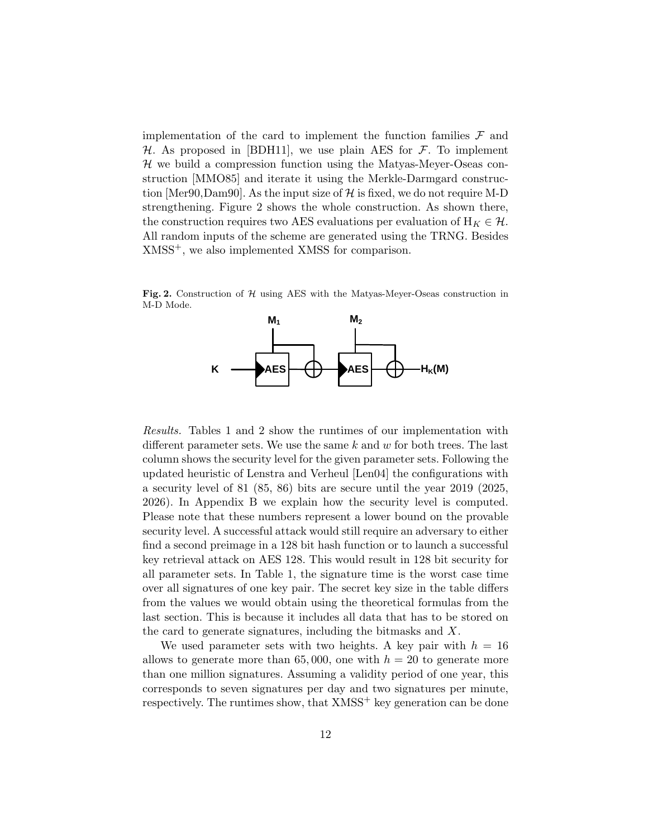implementation of the card to implement the function families  $\mathcal F$  and  $H$ . As proposed in [BDH11], we use plain AES for  $F$ . To implement  $H$  we build a compression function using the Matyas-Meyer-Oseas construction [MMO85] and iterate it using the Merkle-Darmgard construction [Mer90,Dam90]. As the input size of  $\mathcal{H}$  is fixed, we do not require M-D strengthening. Figure 2 shows the whole construction. As shown there, the construction requires two AES evaluations per evaluation of  $H_K \in \mathcal{H}$ . All random inputs of the scheme are generated using the TRNG. Besides XMSS+, we also implemented XMSS for comparison.

Fig. 2. Construction of  $H$  using AES with the Matyas-Meyer-Oseas construction in M-D Mode.



Results. Tables 1 and 2 show the runtimes of our implementation with different parameter sets. We use the same  $k$  and  $w$  for both trees. The last column shows the security level for the given parameter sets. Following the updated heuristic of Lenstra and Verheul [Len04] the configurations with a security level of 81 (85, 86) bits are secure until the year 2019 (2025, 2026). In Appendix B we explain how the security level is computed. Please note that these numbers represent a lower bound on the provable security level. A successful attack would still require an adversary to either find a second preimage in a 128 bit hash function or to launch a successful key retrieval attack on AES 128. This would result in 128 bit security for all parameter sets. In Table 1, the signature time is the worst case time over all signatures of one key pair. The secret key size in the table differs from the values we would obtain using the theoretical formulas from the last section. This is because it includes all data that has to be stored on the card to generate signatures, including the bitmasks and X.

We used parameter sets with two heights. A key pair with  $h = 16$ allows to generate more than 65,000, one with  $h = 20$  to generate more than one million signatures. Assuming a validity period of one year, this corresponds to seven signatures per day and two signatures per minute, respectively. The runtimes show, that  $XMSS^+$  key generation can be done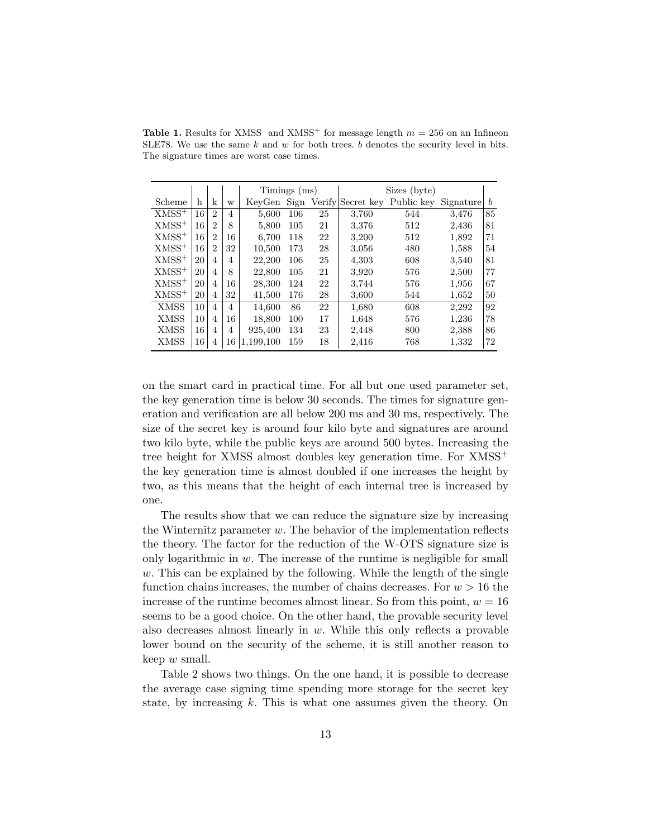|                     |    |                |    | Timings (ms) |     |    |       | Sizes (byte)                 |           |    |
|---------------------|----|----------------|----|--------------|-----|----|-------|------------------------------|-----------|----|
| Scheme              | h  | k              | W  | KeyGen Sign  |     |    |       | Verify Secret key Public key | Signature | h  |
| $XMSS^+$            | 16 | $\overline{2}$ | 4  | 5.600        | 106 | 25 | 3.760 | 544                          | 3.476     | 85 |
| $XMSS$ +            | 16 | $\overline{2}$ | 8  | 5,800        | 105 | 21 | 3,376 | 512                          | 2,436     | 81 |
| $XMSS^+$            | 16 | $\overline{2}$ | 16 | 6.700        | 118 | 22 | 3,200 | 512                          | 1,892     | 71 |
| $XMSS$ <sup>+</sup> | 16 | $\overline{2}$ | 32 | 10,500       | 173 | 28 | 3,056 | 480                          | 1,588     | 54 |
| $XMSS+$             | 20 | $\overline{4}$ | 4  | 22,200       | 106 | 25 | 4,303 | 608                          | 3,540     | 81 |
| $XMSS^+$            | 20 | 4              | 8  | 22,800       | 105 | 21 | 3,920 | 576                          | 2,500     | 77 |
| $XMSS^+$            | 20 | 4              | 16 | 28,300       | 124 | 22 | 3,744 | 576                          | 1,956     | 67 |
| $XMSS^+$            | 20 | 4              | 32 | 41,500       | 176 | 28 | 3.600 | 544                          | 1,652     | 50 |
| <b>XMSS</b>         | 10 | 4              | 4  | 14.600       | 86  | 22 | 1,680 | 608                          | 2,292     | 92 |
| <b>XMSS</b>         | 10 | 4              | 16 | 18,800       | 100 | 17 | 1,648 | 576                          | 1,236     | 78 |
| <b>XMSS</b>         | 16 | 4              | 4  | 925,400      | 134 | 23 | 2.448 | 800                          | 2,388     | 86 |
| <b>XMSS</b>         | 16 | 4              | 16 | 1.199.100    | 159 | 18 | 2,416 | 768                          | 1,332     | 72 |

**Table 1.** Results for XMSS and XMSS<sup>+</sup> for message length  $m = 256$  on an Infineon SLE78. We use the same  $k$  and  $w$  for both trees.  $b$  denotes the security level in bits. The signature times are worst case times.

on the smart card in practical time. For all but one used parameter set, the key generation time is below 30 seconds. The times for signature generation and verification are all below 200 ms and 30 ms, respectively. The size of the secret key is around four kilo byte and signatures are around two kilo byte, while the public keys are around 500 bytes. Increasing the tree height for XMSS almost doubles key generation time. For XMSS<sup>+</sup> the key generation time is almost doubled if one increases the height by two, as this means that the height of each internal tree is increased by one.

The results show that we can reduce the signature size by increasing the Winternitz parameter  $w$ . The behavior of the implementation reflects the theory. The factor for the reduction of the W-OTS signature size is only logarithmic in  $w$ . The increase of the runtime is negligible for small  $w$ . This can be explained by the following. While the length of the single function chains increases, the number of chains decreases. For  $w > 16$  the increase of the runtime becomes almost linear. So from this point,  $w = 16$ seems to be a good choice. On the other hand, the provable security level also decreases almost linearly in w. While this only reflects a provable lower bound on the security of the scheme, it is still another reason to keep w small.

Table 2 shows two things. On the one hand, it is possible to decrease the average case signing time spending more storage for the secret key state, by increasing  $k$ . This is what one assumes given the theory. On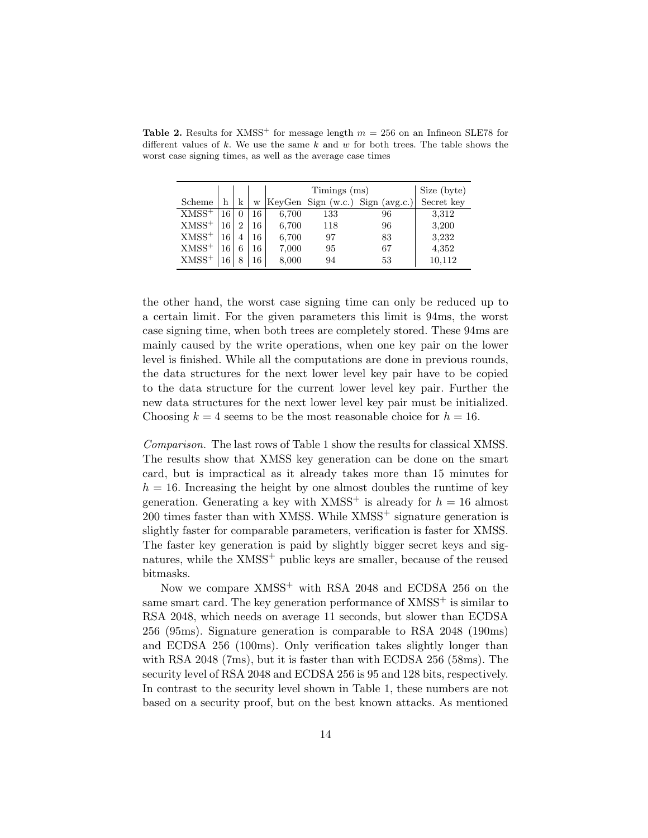|                     |    |                |    |       | Size (byte) |                                  |            |
|---------------------|----|----------------|----|-------|-------------|----------------------------------|------------|
| Scheme              | h  | k              | W  |       |             | KeyGen Sign (w.c.) Sign (avg.c.) | Secret key |
| $XMSS$ <sup>+</sup> | 16 | 0              | 16 | 6,700 | 133         | 96                               | 3,312      |
| $XMSS^+$            | 16 | $\overline{2}$ | 16 | 6,700 | 118         | 96                               | 3,200      |
| $XMSS^+$            | 16 |                | 16 | 6,700 | 97          | 83                               | 3,232      |
| $XMSS^+$            | 16 | 6              | 16 | 7,000 | 95          | 67                               | 4,352      |
| $XMSS^+$            | 16 |                | 16 | 8,000 | 94          | 53                               | 10,112     |

Table 2. Results for XMSS<sup>+</sup> for message length  $m = 256$  on an Infineon SLE78 for different values of  $k$ . We use the same  $k$  and  $w$  for both trees. The table shows the worst case signing times, as well as the average case times

the other hand, the worst case signing time can only be reduced up to a certain limit. For the given parameters this limit is 94ms, the worst case signing time, when both trees are completely stored. These 94ms are mainly caused by the write operations, when one key pair on the lower level is finished. While all the computations are done in previous rounds, the data structures for the next lower level key pair have to be copied to the data structure for the current lower level key pair. Further the new data structures for the next lower level key pair must be initialized. Choosing  $k = 4$  seems to be the most reasonable choice for  $h = 16$ .

Comparison. The last rows of Table 1 show the results for classical XMSS. The results show that XMSS key generation can be done on the smart card, but is impractical as it already takes more than 15 minutes for  $h = 16$ . Increasing the height by one almost doubles the runtime of key generation. Generating a key with  $XMSS^+$  is already for  $h = 16$  almost  $200$  times faster than with XMSS. While XMSS<sup>+</sup> signature generation is slightly faster for comparable parameters, verification is faster for XMSS. The faster key generation is paid by slightly bigger secret keys and signatures, while the XMSS<sup>+</sup> public keys are smaller, because of the reused bitmasks.

Now we compare  $XMSS^+$  with RSA 2048 and ECDSA 256 on the same smart card. The key generation performance of  $XMSS^+$  is similar to RSA 2048, which needs on average 11 seconds, but slower than ECDSA 256 (95ms). Signature generation is comparable to RSA 2048 (190ms) and ECDSA 256 (100ms). Only verification takes slightly longer than with RSA 2048 (7ms), but it is faster than with ECDSA 256 (58ms). The security level of RSA 2048 and ECDSA 256 is 95 and 128 bits, respectively. In contrast to the security level shown in Table 1, these numbers are not based on a security proof, but on the best known attacks. As mentioned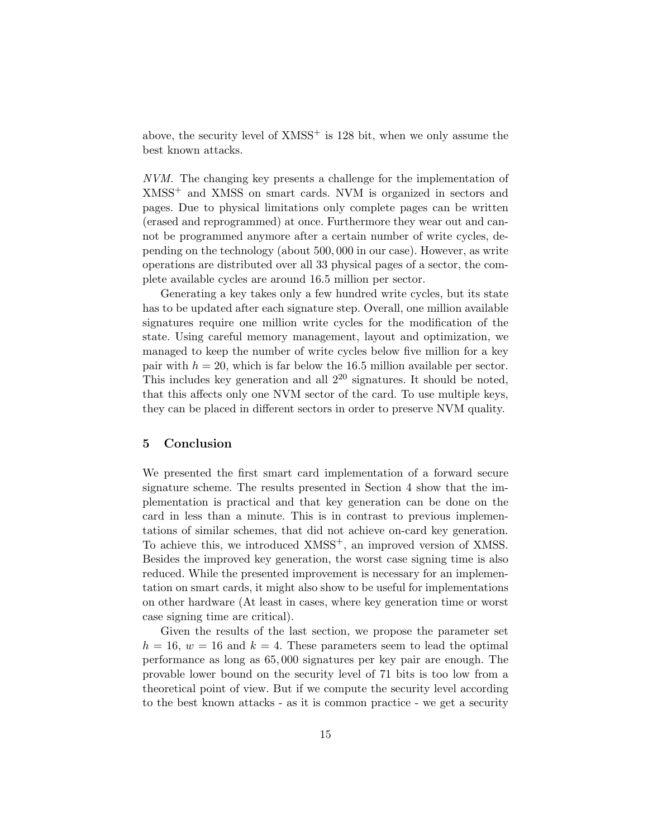above, the security level of  $XMSS^+$  is 128 bit, when we only assume the best known attacks.

NVM. The changing key presents a challenge for the implementation of XMSS<sup>+</sup> and XMSS on smart cards. NVM is organized in sectors and pages. Due to physical limitations only complete pages can be written (erased and reprogrammed) at once. Furthermore they wear out and cannot be programmed anymore after a certain number of write cycles, depending on the technology (about 500, 000 in our case). However, as write operations are distributed over all 33 physical pages of a sector, the complete available cycles are around 16.5 million per sector.

Generating a key takes only a few hundred write cycles, but its state has to be updated after each signature step. Overall, one million available signatures require one million write cycles for the modification of the state. Using careful memory management, layout and optimization, we managed to keep the number of write cycles below five million for a key pair with  $h = 20$ , which is far below the 16.5 million available per sector. This includes key generation and all  $2^{20}$  signatures. It should be noted, that this affects only one NVM sector of the card. To use multiple keys, they can be placed in different sectors in order to preserve NVM quality.

## 5 Conclusion

We presented the first smart card implementation of a forward secure signature scheme. The results presented in Section 4 show that the implementation is practical and that key generation can be done on the card in less than a minute. This is in contrast to previous implementations of similar schemes, that did not achieve on-card key generation. To achieve this, we introduced  $XMSS^+$ , an improved version of XMSS. Besides the improved key generation, the worst case signing time is also reduced. While the presented improvement is necessary for an implementation on smart cards, it might also show to be useful for implementations on other hardware (At least in cases, where key generation time or worst case signing time are critical).

Given the results of the last section, we propose the parameter set  $h = 16$ ,  $w = 16$  and  $k = 4$ . These parameters seem to lead the optimal performance as long as 65, 000 signatures per key pair are enough. The provable lower bound on the security level of 71 bits is too low from a theoretical point of view. But if we compute the security level according to the best known attacks - as it is common practice - we get a security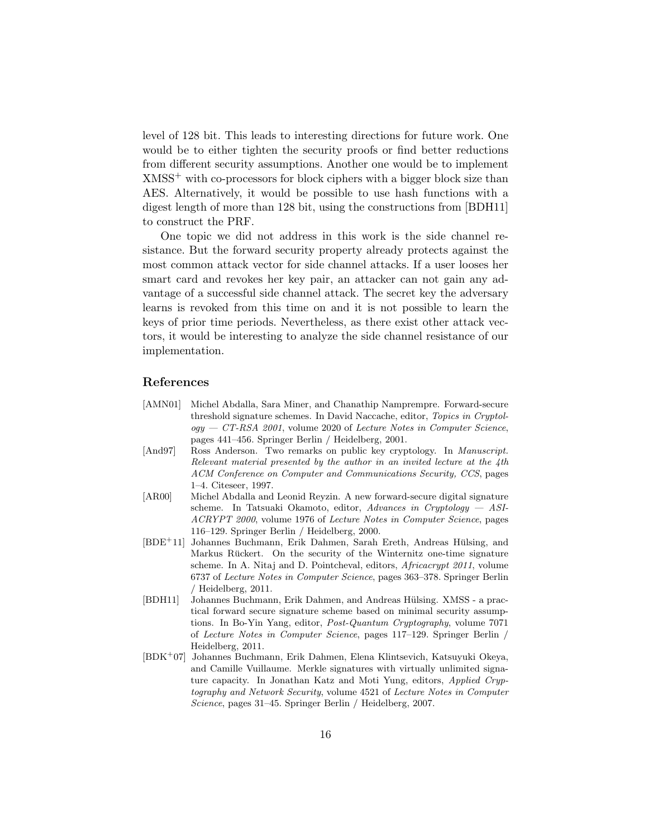level of 128 bit. This leads to interesting directions for future work. One would be to either tighten the security proofs or find better reductions from different security assumptions. Another one would be to implement  $XMSS<sup>+</sup>$  with co-processors for block ciphers with a bigger block size than AES. Alternatively, it would be possible to use hash functions with a digest length of more than 128 bit, using the constructions from [BDH11] to construct the PRF.

One topic we did not address in this work is the side channel resistance. But the forward security property already protects against the most common attack vector for side channel attacks. If a user looses her smart card and revokes her key pair, an attacker can not gain any advantage of a successful side channel attack. The secret key the adversary learns is revoked from this time on and it is not possible to learn the keys of prior time periods. Nevertheless, as there exist other attack vectors, it would be interesting to analyze the side channel resistance of our implementation.

# References

- [AMN01] Michel Abdalla, Sara Miner, and Chanathip Namprempre. Forward-secure threshold signature schemes. In David Naccache, editor, Topics in Cryptol $oqy - CT-RSA$  2001, volume 2020 of Lecture Notes in Computer Science, pages 441–456. Springer Berlin / Heidelberg, 2001.
- [And97] Ross Anderson. Two remarks on public key cryptology. In Manuscript. Relevant material presented by the author in an invited lecture at the 4th ACM Conference on Computer and Communications Security, CCS, pages 1–4. Citeseer, 1997.
- [AR00] Michel Abdalla and Leonid Reyzin. A new forward-secure digital signature scheme. In Tatsuaki Okamoto, editor, Advances in Cryptology  $-$  ASI-ACRYPT 2000, volume 1976 of Lecture Notes in Computer Science, pages 116–129. Springer Berlin / Heidelberg, 2000.
- [BDE<sup>+</sup>11] Johannes Buchmann, Erik Dahmen, Sarah Ereth, Andreas Hülsing, and Markus Rückert. On the security of the Winternitz one-time signature scheme. In A. Nitaj and D. Pointcheval, editors, Africacrypt 2011, volume 6737 of Lecture Notes in Computer Science, pages 363–378. Springer Berlin / Heidelberg, 2011.
- [BDH11] Johannes Buchmann, Erik Dahmen, and Andreas Hülsing. XMSS a practical forward secure signature scheme based on minimal security assumptions. In Bo-Yin Yang, editor, Post-Quantum Cryptography, volume 7071 of Lecture Notes in Computer Science, pages 117–129. Springer Berlin / Heidelberg, 2011.
- [BDK<sup>+</sup>07] Johannes Buchmann, Erik Dahmen, Elena Klintsevich, Katsuyuki Okeya, and Camille Vuillaume. Merkle signatures with virtually unlimited signature capacity. In Jonathan Katz and Moti Yung, editors, Applied Cryptography and Network Security, volume 4521 of Lecture Notes in Computer Science, pages 31–45. Springer Berlin / Heidelberg, 2007.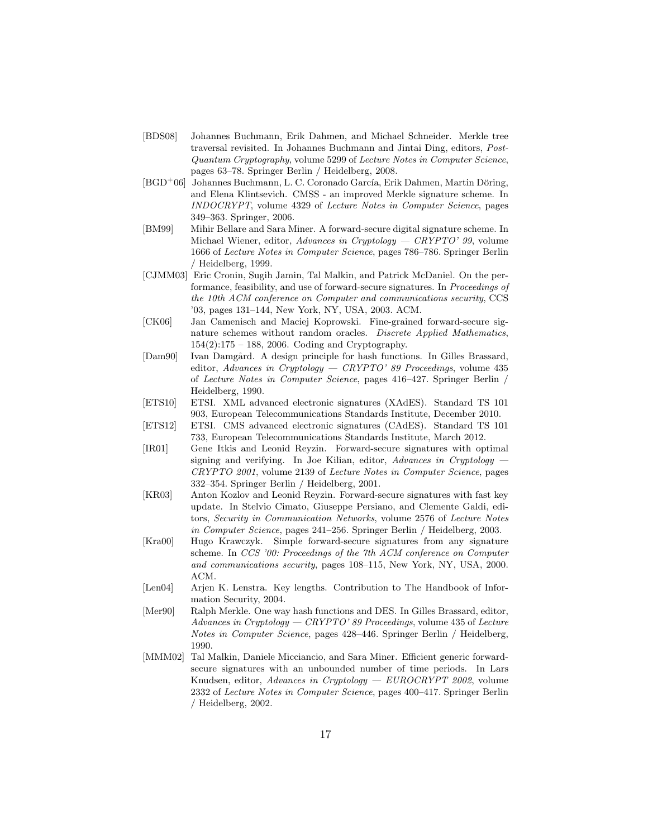- [BDS08] Johannes Buchmann, Erik Dahmen, and Michael Schneider. Merkle tree traversal revisited. In Johannes Buchmann and Jintai Ding, editors, Post-Quantum Cryptography, volume 5299 of Lecture Notes in Computer Science, pages 63–78. Springer Berlin / Heidelberg, 2008.
- [BGD<sup>+</sup>06] Johannes Buchmann, L. C. Coronado García, Erik Dahmen, Martin Döring, and Elena Klintsevich. CMSS - an improved Merkle signature scheme. In INDOCRYPT, volume 4329 of Lecture Notes in Computer Science, pages 349–363. Springer, 2006.
- [BM99] Mihir Bellare and Sara Miner. A forward-secure digital signature scheme. In Michael Wiener, editor, Advances in Cryptology — CRYPTO' 99, volume 1666 of Lecture Notes in Computer Science, pages 786–786. Springer Berlin / Heidelberg, 1999.
- [CJMM03] Eric Cronin, Sugih Jamin, Tal Malkin, and Patrick McDaniel. On the performance, feasibility, and use of forward-secure signatures. In Proceedings of the 10th ACM conference on Computer and communications security, CCS '03, pages 131–144, New York, NY, USA, 2003. ACM.
- [CK06] Jan Camenisch and Maciej Koprowski. Fine-grained forward-secure signature schemes without random oracles. Discrete Applied Mathematics, 154(2):175 – 188, 2006. Coding and Cryptography.
- [Dam90] Ivan Damgård. A design principle for hash functions. In Gilles Brassard, editor, Advances in Cryptology — CRYPTO' 89 Proceedings, volume  $435$ of Lecture Notes in Computer Science, pages 416–427. Springer Berlin / Heidelberg, 1990.
- [ETS10] ETSI. XML advanced electronic signatures (XAdES). Standard TS 101 903, European Telecommunications Standards Institute, December 2010.
- [ETS12] ETSI. CMS advanced electronic signatures (CAdES). Standard TS 101 733, European Telecommunications Standards Institute, March 2012.
- [IR01] Gene Itkis and Leonid Reyzin. Forward-secure signatures with optimal signing and verifying. In Joe Kilian, editor, Advances in Cryptology -CRYPTO 2001, volume 2139 of Lecture Notes in Computer Science, pages 332–354. Springer Berlin / Heidelberg, 2001.
- [KR03] Anton Kozlov and Leonid Reyzin. Forward-secure signatures with fast key update. In Stelvio Cimato, Giuseppe Persiano, and Clemente Galdi, editors, Security in Communication Networks, volume 2576 of Lecture Notes in Computer Science, pages 241–256. Springer Berlin / Heidelberg, 2003.
- [Kra00] Hugo Krawczyk. Simple forward-secure signatures from any signature scheme. In CCS '00: Proceedings of the 7th ACM conference on Computer and communications security, pages 108–115, New York, NY, USA, 2000. ACM.
- [Len04] Arjen K. Lenstra. Key lengths. Contribution to The Handbook of Information Security, 2004.
- [Mer90] Ralph Merkle. One way hash functions and DES. In Gilles Brassard, editor, Advances in Cryptology  $-$  CRYPTO' 89 Proceedings, volume 435 of Lecture Notes in Computer Science, pages 428–446. Springer Berlin / Heidelberg, 1990.
- [MMM02] Tal Malkin, Daniele Micciancio, and Sara Miner. Efficient generic forwardsecure signatures with an unbounded number of time periods. In Lars Knudsen, editor, Advances in Cryptology — EUROCRYPT 2002, volume 2332 of Lecture Notes in Computer Science, pages 400–417. Springer Berlin / Heidelberg, 2002.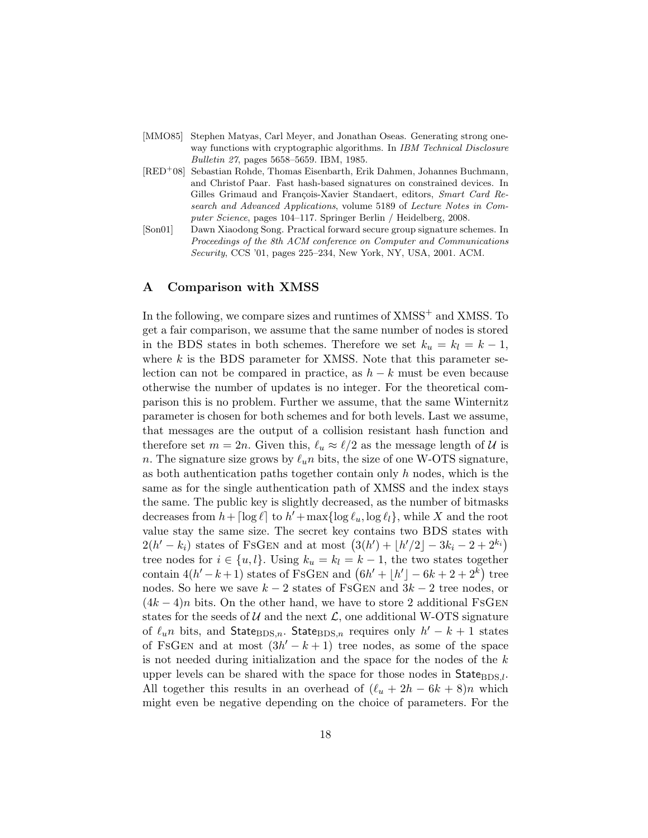| [MMO85] Stephen Matyas, Carl Meyer, and Jonathan Oseas. Generating strong one- |
|--------------------------------------------------------------------------------|
| way functions with cryptographic algorithms. In IBM Technical Disclosure       |
| <i>Bulletin 27</i> , pages 5658–5659. IBM, 1985.                               |

- [RED<sup>+</sup>08] Sebastian Rohde, Thomas Eisenbarth, Erik Dahmen, Johannes Buchmann, and Christof Paar. Fast hash-based signatures on constrained devices. In Gilles Grimaud and François-Xavier Standaert, editors, Smart Card Research and Advanced Applications, volume 5189 of Lecture Notes in Computer Science, pages 104–117. Springer Berlin / Heidelberg, 2008.
- [Son01] Dawn Xiaodong Song. Practical forward secure group signature schemes. In Proceedings of the 8th ACM conference on Computer and Communications Security, CCS '01, pages 225–234, New York, NY, USA, 2001. ACM.

#### A Comparison with XMSS

In the following, we compare sizes and runtimes of  $XMSS^+$  and  $XMSS$ . To get a fair comparison, we assume that the same number of nodes is stored in the BDS states in both schemes. Therefore we set  $k_u = k_l = k - 1$ , where  $k$  is the BDS parameter for XMSS. Note that this parameter selection can not be compared in practice, as  $h - k$  must be even because otherwise the number of updates is no integer. For the theoretical comparison this is no problem. Further we assume, that the same Winternitz parameter is chosen for both schemes and for both levels. Last we assume, that messages are the output of a collision resistant hash function and therefore set  $m = 2n$ . Given this,  $\ell_u \approx \ell/2$  as the message length of U is n. The signature size grows by  $\ell_u n$  bits, the size of one W-OTS signature, as both authentication paths together contain only  $h$  nodes, which is the same as for the single authentication path of XMSS and the index stays the same. The public key is slightly decreased, as the number of bitmasks decreases from  $h + \lceil \log \ell \rceil$  to  $h' + \max \{ \log \ell_u, \log \ell_l \}$ , while X and the root value stay the same size. The secret key contains two BDS states with  $2(h' - k_i)$  states of FSGEN and at most  $(3(h') + \lfloor h'/2 \rfloor - 3k_i - 2 + 2^{k_i})$ tree nodes for  $i \in \{u, l\}$ . Using  $k_u = k_l = k - 1$ , the two states together contain  $4(h'-k+1)$  states of FSGEN and  $(6h'+|h'|-6k+2+2^k)$  tree nodes. So here we save  $k - 2$  states of FsGEN and  $3k - 2$  tree nodes, or  $(4k-4)n$  bits. On the other hand, we have to store 2 additional FSGEN states for the seeds of  $U$  and the next  $\mathcal{L}$ , one additional W-OTS signature of  $\ell_u n$  bits, and StateBDS,n. StateBDS,n requires only  $h'-k+1$  states of FSGEN and at most  $(3h' - k + 1)$  tree nodes, as some of the space is not needed during initialization and the space for the nodes of the k upper levels can be shared with the space for those nodes in  $State_{\text{BDS},l}$ . All together this results in an overhead of  $(\ell_u + 2h - 6k + 8)n$  which might even be negative depending on the choice of parameters. For the